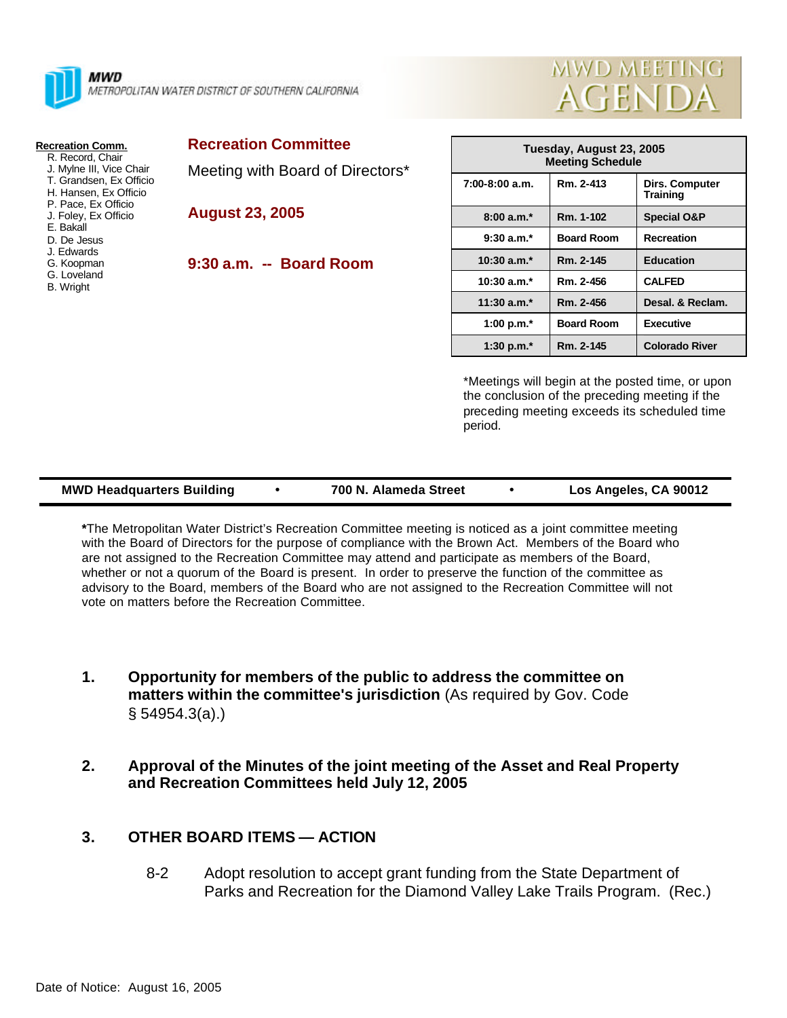



- R. Record, Chair
- J. Mylne III, Vice Chair
- T. Grandsen, Ex Officio
- H. Hansen, Ex Officio P. Pace, Ex Officio
- J. Foley, Ex Officio
- E. Bakall
- D. De Jesus
- J. Edwards
- G. Koopman G. Loveland
- B. Wright

| <b>Recreation Committee</b> |  |  |
|-----------------------------|--|--|
|-----------------------------|--|--|

Meeting with Board of Directors\*

- **August 23, 2005**
	- **9:30 a.m. -- Board Room**

| Tuesday, August 23, 2005<br><b>Meeting Schedule</b> |                   |                            |  |  |  |
|-----------------------------------------------------|-------------------|----------------------------|--|--|--|
| 7:00-8:00 a.m.                                      | Rm. 2-413         | Dirs. Computer<br>Training |  |  |  |
| $8:00a.m.*$                                         | Rm. 1-102         | <b>Special O&amp;P</b>     |  |  |  |
| $9:30$ a.m. <sup>*</sup>                            | <b>Board Room</b> | <b>Recreation</b>          |  |  |  |
| $10:30$ a.m. <sup>*</sup>                           | Rm. 2-145         | <b>Education</b>           |  |  |  |
| $10:30$ a.m. <sup>*</sup>                           | Rm. 2-456         | <b>CALFED</b>              |  |  |  |
| 11:30 $a.m.*$                                       | Rm. 2-456         | Desal. & Reclam.           |  |  |  |
| 1:00 p.m. $*$                                       | <b>Board Room</b> | <b>Executive</b>           |  |  |  |
| 1:30 p.m. $*$                                       | Rm. 2-145         | <b>Colorado River</b>      |  |  |  |

**MWD MEETING** 

**AGENDA** 

\*Meetings will begin at the posted time, or upon the conclusion of the preceding meeting if the preceding meeting exceeds its scheduled time period.

| <b>MWD Headquarters Building</b> | 700 N. Alameda Street | Los Angeles, CA 90012 |
|----------------------------------|-----------------------|-----------------------|
|                                  |                       |                       |

**\***The Metropolitan Water District's Recreation Committee meeting is noticed as a joint committee meeting with the Board of Directors for the purpose of compliance with the Brown Act. Members of the Board who are not assigned to the Recreation Committee may attend and participate as members of the Board, whether or not a quorum of the Board is present. In order to preserve the function of the committee as advisory to the Board, members of the Board who are not assigned to the Recreation Committee will not vote on matters before the Recreation Committee.

- **1. Opportunity for members of the public to address the committee on matters within the committee's jurisdiction** (As required by Gov. Code § 54954.3(a).)
- **2. Approval of the Minutes of the joint meeting of the Asset and Real Property and Recreation Committees held July 12, 2005**

## **3. OTHER BOARD ITEMS — ACTION**

8-2 Adopt resolution to accept grant funding from the State Department of Parks and Recreation for the Diamond Valley Lake Trails Program. (Rec.)